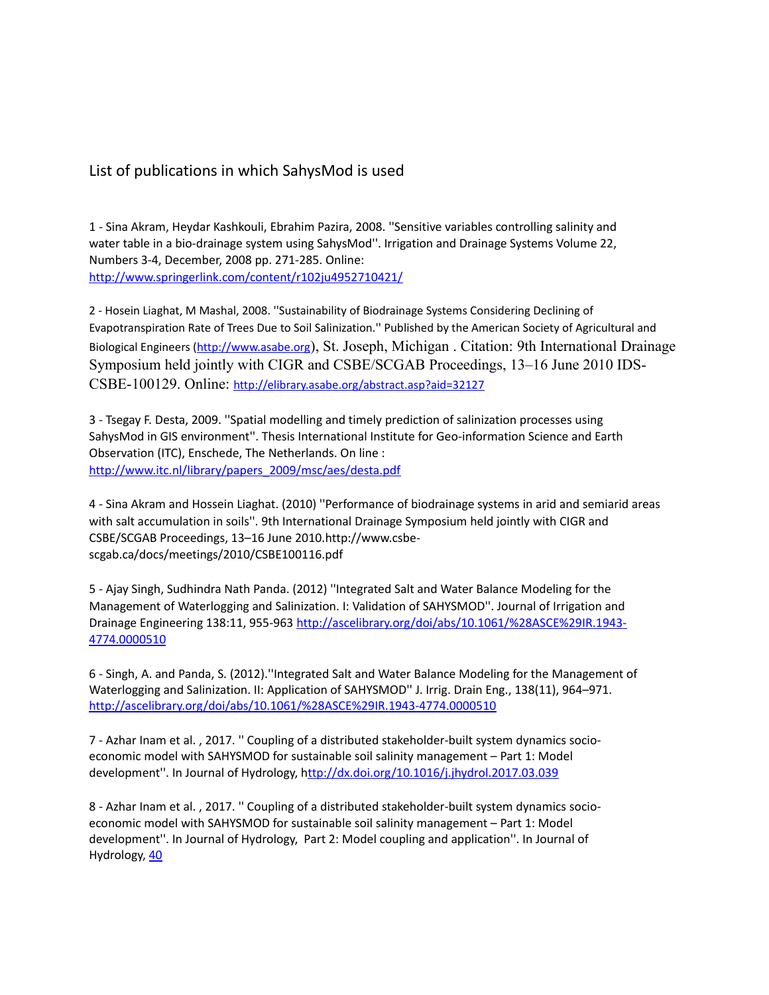## List of publications in which SahysMod is used

1 - Sina Akram, Heydar Kashkouli, Ebrahim Pazira, 2008. ''Sensitive variables controlling salinity and water table in a bio-drainage system using SahysMod''. Irrigation and Drainage Systems Volume 22, Numbers 3-4, December, 2008 pp. 271-285. Online: <http://www.springerlink.com/content/r102ju4952710421/>

2 - Hosein Liaghat, M Mashal, 2008. ''Sustainability of Biodrainage Systems Considering Declining of Evapotranspiration Rate of Trees Due to Soil Salinization.'' Published by the American Society of Agricultural and Biological Engineers [\(http://www.asabe.org](http://www.asabe.org/)), St. Joseph, Michigan . Citation: 9th International Drainage Symposium held jointly with CIGR and CSBE/SCGAB Proceedings, 13–16 June 2010 IDS-CSBE-100129. Online: <http://elibrary.asabe.org/abstract.asp?aid=32127>

3 - Tsegay F. Desta, 2009. ''Spatial modelling and timely prediction of salinization processes using SahysMod in GIS environment''. Thesis International Institute for Geo-information Science and Earth Observation (ITC), Enschede, The Netherlands. On line : [http://www.itc.nl/library/papers\\_2009/msc/aes/desta.pdf](http://www.itc.nl/library/papers_2009/msc/aes/desta.pdf)

4 - Sina Akram and Hossein Liaghat. (2010) ''Performance of biodrainage systems in arid and semiarid areas with salt accumulation in soils''. 9th International Drainage Symposium held jointly with CIGR and CSBE/SCGAB Proceedings, 13–16 June 2010.http://www.csbescgab.ca/docs/meetings/2010/CSBE100116.pdf

5 - Ajay Singh, Sudhindra Nath Panda. (2012) ''Integrated Salt and Water Balance Modeling for the Management of Waterlogging and Salinization. I: Validation of SAHYSMOD''. Journal of Irrigation and Drainage Engineering 138:11, 955-963 [http://ascelibrary.org/doi/abs/10.1061/%28ASCE%29IR.1943-](http://ascelibrary.org/doi/abs/10.1061/(ASCE)IR.1943-4774.0000510) [4774.0000510](http://ascelibrary.org/doi/abs/10.1061/(ASCE)IR.1943-4774.0000510)

6 - Singh, A. and Panda, S. (2012).''Integrated Salt and Water Balance Modeling for the Management of Waterlogging and Salinization. II: Application of SAHYSMOD'' J. Irrig. Drain Eng., 138(11), 964–971. [http://ascelibrary.org/doi/abs/10.1061/%28ASCE%29IR.1943-4774.0000510](http://ascelibrary.org/doi/abs/10.1061/(ASCE)IR.1943-4774.0000510)

7 - Azhar Inam et al. , 2017. '' Coupling of a distributed stakeholder-built system dynamics socioeconomic model with SAHYSMOD for sustainable soil salinity management – Part 1: Model development". In Journal of Hydrology, <http://dx.doi.org/10.1016/j.jhydrol.2017.03.039>

8 - Azhar Inam et al. , 2017. '' Coupling of a distributed stakeholder-built system dynamics socioeconomic model with SAHYSMOD for sustainable soil salinity management – Part 1: Model development''. In Journal of Hydrology, Part 2: Model coupling and application''. In Journal of Hydrology, [40](http://dx.doi.org/10.1016/j.jhydrol.2017.03.040)